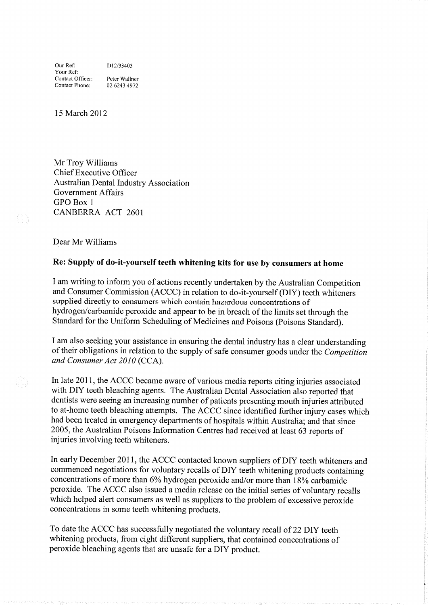Our Ref: D12/33403 Your Ref: Contact Officer: Peter Wallner Contact Phone: <sup>02</sup>6243 <sup>4912</sup>

15 March 2012

Mr Troy Williams Chief Executive Officer Australian Dental Industry Association Government Affairs GPO Box <sup>1</sup> CANBERRA ACT 2601

Dear Mr Williams

## Re: Supply of do-it-yourself teeth whitening kits for use by consumers at home

<sup>I</sup>am writing to inform you of actions recently undertaken by the Australian Competition and Consumer Commission (ACCC) in relation to do-it-yourself (DIY) teeth whiteners supplied directly to consumers which contain hazardous concentrations of hydrogen/carbarnide peroxide and appear to be in breach of the limits set through the Standard for the Uniform Scheduling of Medicines and Poisons (Poisons Standard).

I am also seeking your assistance in ensuring the dental industry has a clear understanding of their obligations in relation to the supply of safe consumer goods under the Competition and Consumer Act 2010 (CCA).

In late 2011, the ACCC became aware of various media reports citing injuries associated with DIY teeth bleaching agents. The Australian Dental Association also reported that dentists were seeing an increasing number of patients presenting mouth injuries attributed to at-home teeth bleaching atternpts. The ACCC since identified further injury cases which had been treated in emergency departments of hospitals within Australia; and that since 2005, the Australian Poisons Infonnation Centres had received at least 63 reports of injuries involving teeth whiteners.

In early December 2017, the ACCC contacted known suppliers of DIY teeth whiteners and commenced negotiations for voluntary recalls of DIY teeth whitening products containing concentrations of more than 6% hydrogen peroxide and/or more than 18% carbamide peroxide. The ACCC also issued a media release on the initial series of voluntary recalls which helped alert consumers as well as suppliers to the problem of excessive peroxide concentrations in some teeth whitening products.

To date the ACCC has successfully negotiated the voluntary recall of 22 DIY teeth whitening products, from eight different suppliers, that contained concentrations of peroxide bleaching agents that are unsafe for a DIY product.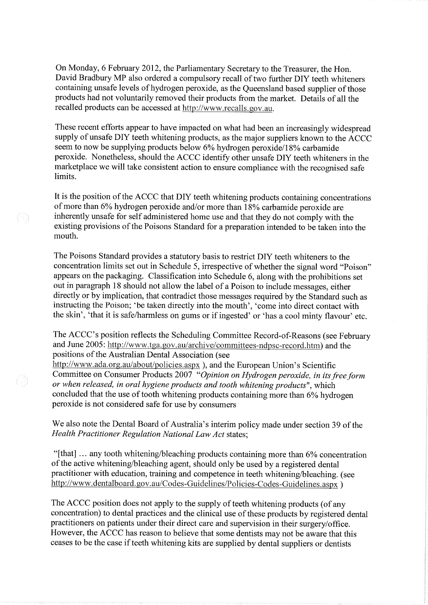On Monday, 6 February 2012, the Parliamentary Secretary to the Treasurer, the Hon. David Bradbury MP also ordered a compulsory recall of two further DIY teeth whiteners containing unsafe levels of hydrogen peroxide, as the Queensland based supplier of those products had not voluntarily removed their products from the market. Details of all the recalled products can be accessed at http://www.recalls.gov.au.

These recent efforts appear to have impacted on what had been an increasingly widespread supply of unsafe DIY teeth whitening products, as the major suppliers known to the ACCC seem to now be supplying products below  $6\%$  hydrogen peroxide/18% carbamide peroxide. Nonetheless, should the ACCC identify other unsafe DIY teeth whiteners in the marketplace we will take consistent action to ensure compliance with the recognised safe limits.

It is the position of the ACCC that DIY teeth whitening products containing concentrations of more than 6% hydrogen peroxide and/or more than 18% carbamide peroxide are inherently unsafe for self adrninistered home use and that they do not comply with the existing provisions of the Poisons Standard for a preparation intended to be taken into the mouth.

The Poisons Standard provides a statutory basis to restrict DIY teeth whiteners to the concentration limits set out in Schedule 5, irespective of whether the signal word "Poison" appears on the packaging. Classification into Schedule 6, along with the prohibitions set out in paragraph 18 should not allow the label of a Poison to include messages, either directly or by implication, that contradict those messages required by the Standard such as instructing the Poison; 'be taken directly into the mouth', 'come into direct contact with the skin', 'that it is safe/harrnless on gums or if ingested' or 'has a cool minty flavour' etc.

The ACCC's position reflects the Scheduling Committee Record-of-Reasons (see February and June 2005: http://www.tga.gov.au/archive/committees-ndpsc-record.htm) and the positions of the Australian Dental Association (see

http://www.ada.org.au/about/policies.aspx ), and the European Union's Scientific Committee on Consumer Products 2007 "Opinion on Hydrogen peroxide, in its free form or when released, in oral hygiene products and tooth whitening products", which concluded that the use of tooth whitening products containing more than 6% hydrogen peroxide is not considered safe for use by consumers

We also note the Dental Board of Australia's interim policy made under section 39 of the Health Practitioner Regulation National Law Act states;

"[that]  $\ldots$  any tooth whitening/bleaching products containing more than 6% concentration of the active whitening/bleaching agent, should only be used by a registered dental practitioner with education, training and competence in teeth whitening/bleaching. (see http://www.dentalboard.gov.au/Codes-Guidelines/Policies-Codes-Guidelines.aspx )

The ACCC position does not apply to the supply of teeth whitening products (of any concentration) to dental practices and the clinical use of these products by registered dental practitioners on patients under their direct care and supervision in their surgery/office. However, the ACCC has reason to believe that sorne dentists may not be aware that this ceases to be the case if teeth whitening kits are supplied by dental suppliers or dentists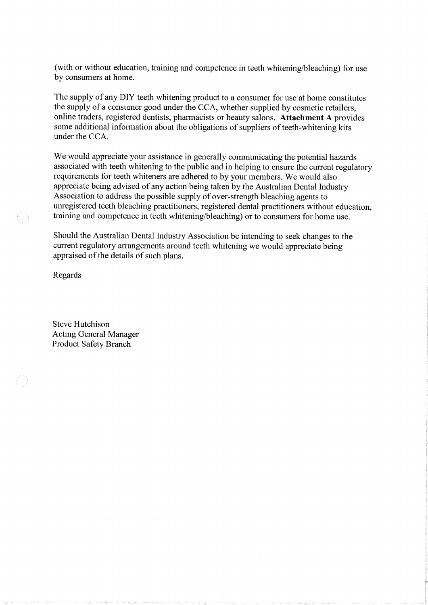(with or without education, training and competence in teeth whitening/bleaching) for use by consumers at home.

The supply of any DIY teeth whitening product to a consurner for use at home constitutes the supply of a consumer good under the CCA, whether supplied by cosmetic retailers, online traders, registered dentists, pharmacists or beauty salons. Attachment A provides sorne additional information about the obligations of suppliers of teeth-whitening kits under the CCA.

We would appreciate your assistance in generally communicating the potential hazards associated with teeth whitening to the public and in helping to ensure the current regulatory requirements for teeth whiteners are adhered to by your members. We would also appreciate being advised of any action being taken by the Australian Dental Industry Association to address the possible supply of over-strength bleaching agents to unregistered teeth bleaching practitioners, registered dental practitioners without education, training and competence in teeth whitening/bleaching) or to consurners for home use.

Should the Australian Dental Industry Association be intending to seek changes to the current regulatory arrangements around teeth whitening we would appreciate being appraised of the details of such plans.

Regards

Steve Hutchison Acting General Manager Product Safety Branch

03